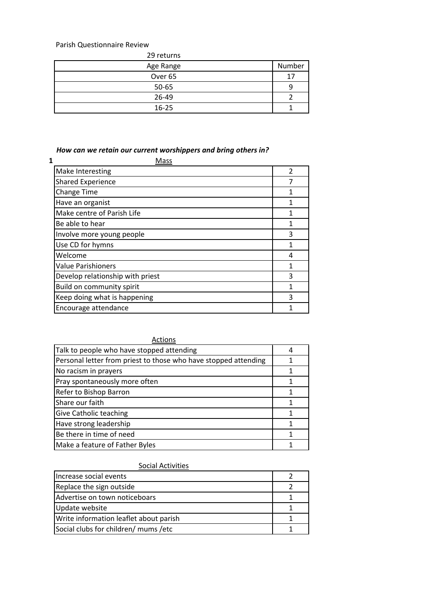Parish Questionnaire Review

29 returns

| Age Range          | Number |
|--------------------|--------|
| Over <sub>65</sub> | 17     |
| 50-65              |        |
| 26-49              |        |
| $16 - 25$          |        |

# *How can we retain our current worshippers and bring others in?*

| 1 | Mass                             |                |
|---|----------------------------------|----------------|
|   | Make Interesting                 | $\mathfrak{p}$ |
|   | <b>Shared Experience</b>         |                |
|   | <b>Change Time</b>               | 1              |
|   | Have an organist                 | 1              |
|   | Make centre of Parish Life       |                |
|   | Be able to hear                  | 1              |
|   | Involve more young people        | 3              |
|   | Use CD for hymns                 |                |
|   | Welcome                          | 4              |
|   | <b>Value Parishioners</b>        | 1              |
|   | Develop relationship with priest | 3              |
|   | Build on community spirit        |                |
|   | Keep doing what is happening     | 3              |
|   | Encourage attendance             |                |

| Actions                                                         |  |
|-----------------------------------------------------------------|--|
| Talk to people who have stopped attending                       |  |
| Personal letter from priest to those who have stopped attending |  |
| No racism in prayers                                            |  |
| Pray spontaneously more often                                   |  |
| Refer to Bishop Barron                                          |  |
| Share our faith                                                 |  |
| Give Catholic teaching                                          |  |
| Have strong leadership                                          |  |
| Be there in time of need                                        |  |
| Make a feature of Father Byles                                  |  |

# Social Activities

| Increase social events                 |  |
|----------------------------------------|--|
| Replace the sign outside               |  |
| Advertise on town noticeboars          |  |
| Update website                         |  |
| Write information leaflet about parish |  |
| Social clubs for children/ mums / etc  |  |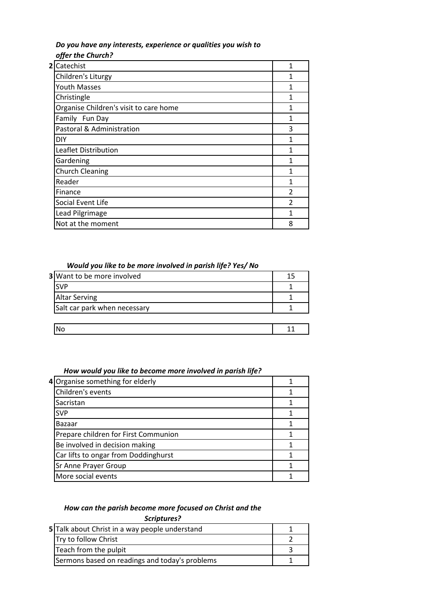#### *Do you have any interests, experience or qualities you wish to offer the Church?*

| $\mathbf{2}$ | Catechist                              | 1                        |
|--------------|----------------------------------------|--------------------------|
|              | Children's Liturgy                     | 1                        |
|              | <b>Youth Masses</b>                    | 1                        |
|              | Christingle                            | 1                        |
|              | Organise Children's visit to care home | 1                        |
|              | Family Fun Day                         | 1                        |
|              | Pastoral & Administration              | 3                        |
|              | DIY                                    | 1                        |
|              | Leaflet Distribution                   | 1                        |
|              | Gardening                              | 1                        |
|              | <b>Church Cleaning</b>                 | 1                        |
|              | Reader                                 | 1                        |
|              | Finance                                | $\overline{\phantom{a}}$ |
|              | Social Event Life                      | $\mathfrak z$            |
|              | Lead Pilgrimage                        | 1                        |
|              | Not at the moment                      | 8                        |
|              |                                        |                          |

#### *Would you like to be more involved in parish life? Yes/ No*

| <b>3</b> Want to be more involved |  |
|-----------------------------------|--|
| <b>SVP</b>                        |  |
| <b>Altar Serving</b>              |  |
| Salt car park when necessary      |  |
|                                   |  |
|                                   |  |

#### *How would you like to become more involved in parish life?*

| 4 Organise something for elderly     |  |
|--------------------------------------|--|
| Children's events                    |  |
| Sacristan                            |  |
| <b>SVP</b>                           |  |
| Bazaar                               |  |
| Prepare children for First Communion |  |
| Be involved in decision making       |  |
| Car lifts to ongar from Doddinghurst |  |
| Sr Anne Prayer Group                 |  |
| More social events                   |  |

# *How can the parish become more focused on Christ and the*

# *Scriptures?*

| 5 Talk about Christ in a way people understand |  |
|------------------------------------------------|--|
| Try to follow Christ                           |  |
| Teach from the pulpit                          |  |
| Sermons based on readings and today's problems |  |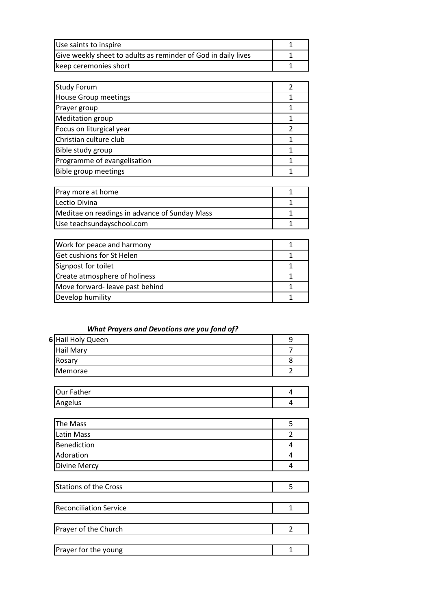| Use saints to inspire                                         |  |
|---------------------------------------------------------------|--|
| Give weekly sheet to adults as reminder of God in daily lives |  |
| keep ceremonies short                                         |  |

| <b>Study Forum</b>          |  |
|-----------------------------|--|
| <b>House Group meetings</b> |  |
| Prayer group                |  |
| <b>Meditation group</b>     |  |
| Focus on liturgical year    |  |
| Christian culture club      |  |
| Bible study group           |  |
| Programme of evangelisation |  |
| Bible group meetings        |  |

| Pray more at home                             |  |
|-----------------------------------------------|--|
| Lectio Divina                                 |  |
| Meditae on readings in advance of Sunday Mass |  |
| Use teachsundayschool.com                     |  |

| Work for peace and harmony     |  |
|--------------------------------|--|
| Get cushions for St Helen      |  |
| Signpost for toilet            |  |
| Create atmosphere of holiness  |  |
| Move forward-leave past behind |  |
| Develop humility               |  |

| <b>What Prayers and Devotions are you fond of?</b> |  |  |  |
|----------------------------------------------------|--|--|--|
|----------------------------------------------------|--|--|--|

| 6 Hail Holy Queen |  |
|-------------------|--|
| Hail Mary         |  |
| Rosary            |  |
| Memorae           |  |
|                   |  |

| ∎Our <sup>r</sup><br>:her |  |
|---------------------------|--|
| Angelus                   |  |

| The Mass            |  |
|---------------------|--|
| Latin Mass          |  |
| Benediction         |  |
| Adoration           |  |
| <b>Divine Mercy</b> |  |

| Stations of the Cross |  |
|-----------------------|--|
|                       |  |

| <b>Reconciliation Service</b> |  |
|-------------------------------|--|
|                               |  |
| Prayer of the Church          |  |
|                               |  |
| Prayer for the young          |  |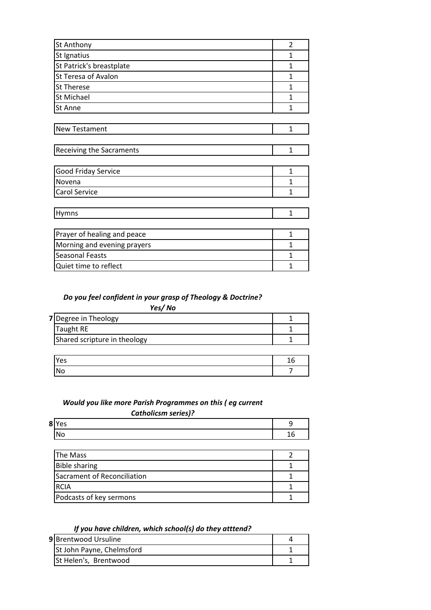| St Anthony                      | $\overline{2}$ |
|---------------------------------|----------------|
| St Ignatius                     | 1              |
| St Patrick's breastplate        | 1              |
| St Teresa of Avalon             | 1              |
| <b>St Therese</b>               | 1              |
| St Michael                      | 1              |
| St Anne                         | 1              |
|                                 |                |
| New Testament                   | $\mathbf{1}$   |
|                                 |                |
| <b>Receiving the Sacraments</b> | $\mathbf{1}$   |
|                                 |                |
| Good Friday Service             | 1              |
| Novena                          | 1              |
| Carol Service                   | 1              |
|                                 |                |
| Hymns                           | $\mathbf{1}$   |
|                                 |                |
| Prayer of healing and peace     | 1              |
| Morning and evening prayers     | 1              |
| <b>Seasonal Feasts</b>          | 1              |
| Quiet time to reflect           | $\mathbf{1}$   |

#### *Do you feel confident in your grasp of Theology & Doctrine?*

*Yes/ No*

| 7 Degree in Theology         |  |
|------------------------------|--|
| <b>Taught RE</b>             |  |
| Shared scripture in theology |  |

| <b>IYes</b> | ᅩ |
|-------------|---|
| 'N.         |   |

# *Would you like more Parish Programmes on this ( eg current Catholicsm series)?*

| 8 Y<br>ρς<br>ີ  | ۔ |
|-----------------|---|
| ۸I٠<br>ັ<br>. . | ┸ |
|                 |   |

| The Mass                    |  |
|-----------------------------|--|
| <b>Bible sharing</b>        |  |
| Sacrament of Reconciliation |  |
| IRCIA                       |  |
| Podcasts of key sermons     |  |

#### *If you have children, which school(s) do they atttend?*

| 9 Brentwood Ursuline      |  |
|---------------------------|--|
| St John Payne, Chelmsford |  |
| St Helen's, Brentwood     |  |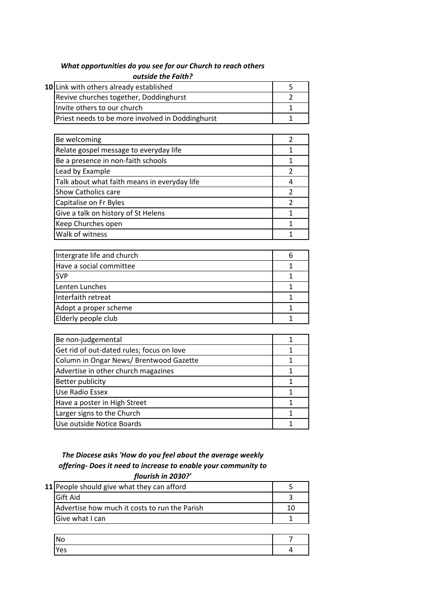# *What opportunities do you see for our Church to reach others outside the Faith?*

| 10 Link with others already established          |  |
|--------------------------------------------------|--|
| Revive churches together, Doddinghurst           |  |
| Invite others to our church                      |  |
| Priest needs to be more involved in Doddinghurst |  |

| Be welcoming                                 |  |
|----------------------------------------------|--|
| Relate gospel message to everyday life       |  |
| Be a presence in non-faith schools           |  |
| Lead by Example                              |  |
| Talk about what faith means in everyday life |  |
| <b>Show Catholics care</b>                   |  |
| Capitalise on Fr Byles                       |  |
| Give a talk on history of St Helens          |  |
| Keep Churches open                           |  |
| Walk of witness                              |  |

| Intergrate life and church |  |
|----------------------------|--|
| Have a social committee    |  |
| <b>SVP</b>                 |  |
| Lenten Lunches             |  |
| Interfaith retreat         |  |
| Adopt a proper scheme      |  |
| Elderly people club        |  |

| Be non-judgemental                        |  |
|-------------------------------------------|--|
| Get rid of out-dated rules; focus on love |  |
| Column in Ongar News/ Brentwood Gazette   |  |
| Advertise in other church magazines       |  |
| Better publicity                          |  |
| <b>Use Radio Essex</b>                    |  |
| Have a poster in High Street              |  |
| Larger signs to the Church                |  |
| Use outside Notice Boards                 |  |

# *The Diocese asks 'How do you feel about the average weekly offering- Does it need to increase to enable your community to*

| flourish in 2030?'                            |    |
|-----------------------------------------------|----|
| 11 People should give what they can afford    |    |
| <b>Gift Aid</b>                               |    |
| Advertise how much it costs to run the Parish | 10 |
| Give what I can                               |    |
|                                               |    |
|                                               |    |

| <b>No</b> |  |
|-----------|--|
| Yes       |  |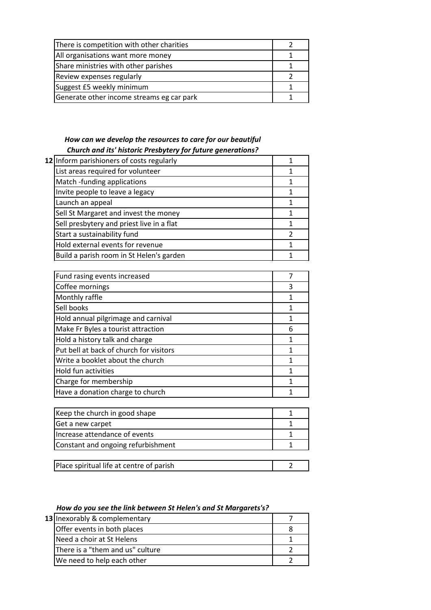| There is competition with other charities |  |
|-------------------------------------------|--|
| All organisations want more money         |  |
| Share ministries with other parishes      |  |
| Review expenses regularly                 |  |
| Suggest £5 weekly minimum                 |  |
| Generate other income streams eg car park |  |

# *How can we develop the resources to care for our beautiful Church and its' historic Presbytery for future generations?*

| 12 Inform parishioners of costs regularly |  |
|-------------------------------------------|--|
| List areas required for volunteer         |  |
| Match -funding applications               |  |
| Invite people to leave a legacy           |  |
| Launch an appeal                          |  |
| Sell St Margaret and invest the money     |  |
| Sell presbytery and priest live in a flat |  |
| Start a sustainability fund               |  |
| Hold external events for revenue          |  |
| Build a parish room in St Helen's garden  |  |
|                                           |  |

| Fund rasing events increased            |   |
|-----------------------------------------|---|
| Coffee mornings                         | 3 |
| Monthly raffle                          | 1 |
| Sell books                              |   |
| Hold annual pilgrimage and carnival     |   |
| Make Fr Byles a tourist attraction      | 6 |
| Hold a history talk and charge          |   |
| Put bell at back of church for visitors |   |
| Write a booklet about the church        |   |
| Hold fun activities                     |   |
| Charge for membership                   |   |
| Have a donation charge to church        |   |

| Place spiritual life at centre of parish |  |
|------------------------------------------|--|

# *How do you see the link between St Helen's and St Margarets's?*

| 13 Inexorably & complementary    |  |
|----------------------------------|--|
| Offer events in both places      |  |
| Need a choir at St Helens        |  |
| There is a "them and us" culture |  |
| We need to help each other       |  |
|                                  |  |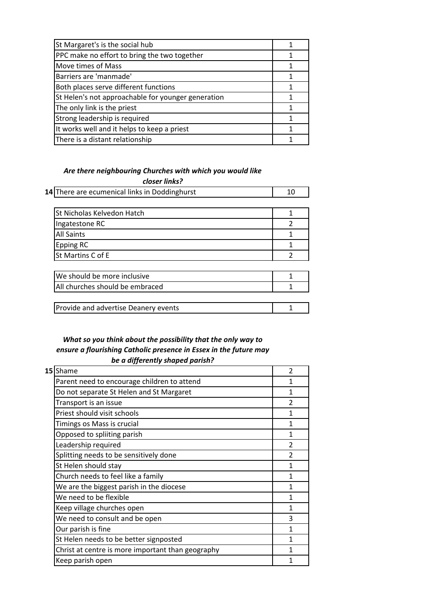# *Are there neighbouring Churches with which you would like closer links?*

|  | 14 There are ecumenical links in Doddinghurst |  |
|--|-----------------------------------------------|--|
|--|-----------------------------------------------|--|

| <b>St Nicholas Kelvedon Hatch</b> |  |
|-----------------------------------|--|
| Ingatestone RC                    |  |
| <b>All Saints</b>                 |  |
| Epping RC                         |  |
| St Martins C of E                 |  |

| We should be more inclusive          |  |
|--------------------------------------|--|
| All churches should be embraced      |  |
|                                      |  |
| Provide and advertise Deanery events |  |

### *What so you think about the possibility that the only way to ensure a flourishing Catholic presence in Essex in the future may be a differently shaped parish?*

|  | 15 Shame                                          | $\mathfrak{p}$ |
|--|---------------------------------------------------|----------------|
|  | Parent need to encourage children to attend       | 1              |
|  | Do not separate St Helen and St Margaret          | 1              |
|  | Transport is an issue                             | $\mathfrak{p}$ |
|  | Priest should visit schools                       | 1              |
|  | Timings os Mass is crucial                        |                |
|  | Opposed to spliiting parish                       |                |
|  | Leadership required                               | $\mathfrak z$  |
|  | Splitting needs to be sensitively done            | $\mathfrak z$  |
|  | St Helen should stay                              | 1              |
|  | Church needs to feel like a family                | 1              |
|  | We are the biggest parish in the diocese          | 1              |
|  | We need to be flexible                            | 1              |
|  | Keep village churches open                        | 1              |
|  | We need to consult and be open                    | 3              |
|  | Our parish is fine                                | $\mathbf{1}$   |
|  | St Helen needs to be better signposted            | 1              |
|  | Christ at centre is more important than geography | 1              |
|  | Keep parish open                                  |                |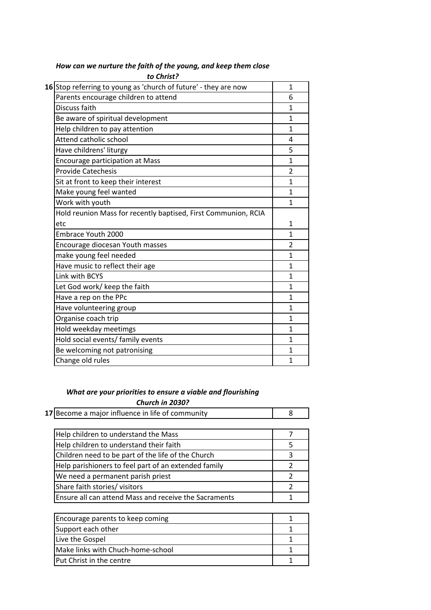| 16 Stop referring to young as 'church of future' - they are now | $\mathbf{1}$            |
|-----------------------------------------------------------------|-------------------------|
| Parents encourage children to attend                            | 6                       |
| Discuss faith                                                   | 1                       |
| Be aware of spiritual development                               | 1                       |
| Help children to pay attention                                  | 1                       |
| Attend catholic school                                          | 4                       |
| Have childrens' liturgy                                         | 5                       |
| <b>Encourage participation at Mass</b>                          | $\mathbf{1}$            |
| <b>Provide Catechesis</b>                                       | 2                       |
| Sit at front to keep their interest                             | $\mathbf{1}$            |
| Make young feel wanted                                          | 1                       |
| Work with youth                                                 | $\mathbf{1}$            |
| Hold reunion Mass for recently baptised, First Communion, RCIA  |                         |
| etc                                                             | $\mathbf{1}$            |
| Embrace Youth 2000                                              | 1                       |
| Encourage diocesan Youth masses                                 | $\overline{\mathbf{c}}$ |
| make young feel needed                                          | $\mathbf{1}$            |
| Have music to reflect their age                                 | $\mathbf{1}$            |
| Link with BCYS                                                  | 1                       |
| Let God work/ keep the faith                                    | 1                       |
| Have a rep on the PPc                                           | 1                       |
| Have volunteering group                                         | 1                       |
| Organise coach trip                                             | 1                       |
| Hold weekday meetimgs                                           | 1                       |
| Hold social events/ family events                               | $\mathbf{1}$            |
| Be welcoming not patronising                                    | $\mathbf{1}$            |
| Change old rules                                                | $\mathbf{1}$            |
|                                                                 |                         |

# *How can we nurture the faith of the young, and keep them close to Christ?*

# *What are your priorities to ensure a viable and flourishing Church in 2030?*

|  | 17 Become a major influence in life of community |  |
|--|--------------------------------------------------|--|
|--|--------------------------------------------------|--|

| Help children to understand the Mass                  |  |
|-------------------------------------------------------|--|
| Help children to understand their faith               |  |
| Children need to be part of the life of the Church    |  |
| Help parishioners to feel part of an extended family  |  |
| We need a permanent parish priest                     |  |
| Share faith stories/ visitors                         |  |
| Ensure all can attend Mass and receive the Sacraments |  |

| Encourage parents to keep coming  |  |
|-----------------------------------|--|
| Support each other                |  |
| Live the Gospel                   |  |
| Make links with Chuch-home-school |  |
| Put Christ in the centre          |  |